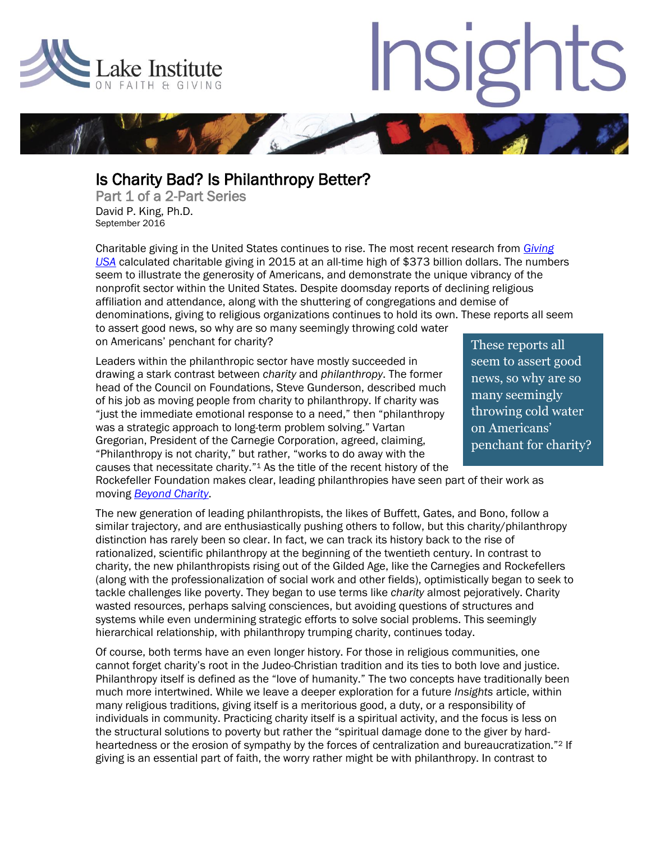

 $\overline{\phantom{a}}$ 

l

## Insig

## Is Charity Bad? Is Philanthropy Better?

Part 1 of a 2-Part Series David P. King, Ph.D. September 2016

Charitable giving in the United States continues to rise. The most recent research from *[Giving](https://givingusa.org/giving-usa-2016/)  [USA](https://givingusa.org/giving-usa-2016/)* calculated charitable giving in 2015 at an all-time high of \$373 billion dollars. The numbers seem to illustrate the generosity of Americans, and demonstrate the unique vibrancy of the nonprofit sector within the United States. Despite doomsday reports of declining religious affiliation and attendance, along with the shuttering of congregations and demise of denominations, giving to religious organizations continues to hold its own. These reports all seem to assert good news, so why are so many seemingly throwing cold water on Americans' penchant for charity?

Leaders within the philanthropic sector have mostly succeeded in drawing a stark contrast between *charity* and *philanthropy*. The former head of the Council on Foundations, Steve Gunderson, described much of his job as moving people from charity to philanthropy. If charity was "just the immediate emotional response to a need," then "philanthropy was a strategic approach to long-term problem solving." Vartan Gregorian, President of the Carnegie Corporation, agreed, claiming, "Philanthropy is not charity," but rather, "works to do away with the causes that necessitate charity."<sup>1</sup> As the title of the recent history of the These reports all seem to assert good news, so why are so many seemingly throwing cold water on Americans' penchant for charity?

Rockefeller Foundation makes clear, leading philanthropies have seen part of their work as moving *[Beyond Charity](https://www.rockefellerfoundation.org/report/beyond-charity-a-century-of-philanthropy-innovation/)*.

The new generation of leading philanthropists, the likes of Buffett, Gates, and Bono, follow a similar trajectory, and are enthusiastically pushing others to follow, but this charity/philanthropy distinction has rarely been so clear. In fact, we can track its history back to the rise of rationalized, scientific philanthropy at the beginning of the twentieth century. In contrast to charity, the new philanthropists rising out of the Gilded Age, like the Carnegies and Rockefellers (along with the professionalization of social work and other fields), optimistically began to seek to tackle challenges like poverty. They began to use terms like *charity* almost pejoratively. Charity wasted resources, perhaps salving consciences, but avoiding questions of structures and systems while even undermining strategic efforts to solve social problems. This seemingly hierarchical relationship, with philanthropy trumping charity, continues today.

Of course, both terms have an even longer history. For those in religious communities, one cannot forget charity's root in the Judeo-Christian tradition and its ties to both love and justice. Philanthropy itself is defined as the "love of humanity." The two concepts have traditionally been much more intertwined. While we leave a deeper exploration for a future *Insights* article, within many religious traditions, giving itself is a meritorious good, a duty, or a responsibility of individuals in community. Practicing charity itself is a spiritual activity, and the focus is less on the structural solutions to poverty but rather the "spiritual damage done to the giver by hardheartedness or the erosion of sympathy by the forces of centralization and bureaucratization."<sup>2</sup> If giving is an essential part of faith, the worry rather might be with philanthropy. In contrast to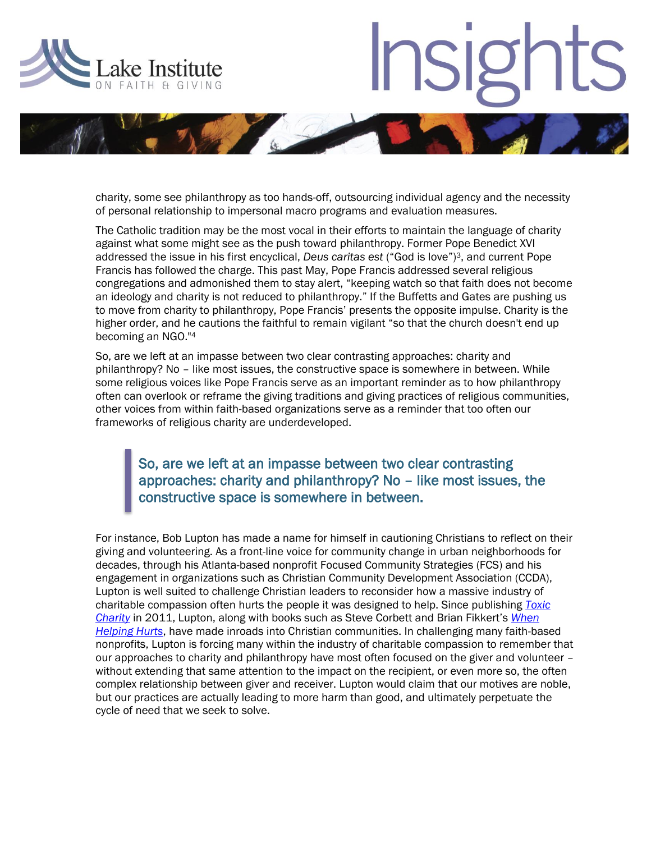

## **Insig**



charity, some see philanthropy as too hands-off, outsourcing individual agency and the necessity of personal relationship to impersonal macro programs and evaluation measures.

The Catholic tradition may be the most vocal in their efforts to maintain the language of charity against what some might see as the push toward philanthropy. Former Pope Benedict XVI addressed the issue in his first encyclical, *Deus caritas est* ("God is love")3, and current Pope Francis has followed the charge. This past May, Pope Francis addressed several religious congregations and admonished them to stay alert, "keeping watch so that faith does not become an ideology and charity is not reduced to philanthropy." If the Buffetts and Gates are pushing us to move from charity to philanthropy, Pope Francis' presents the opposite impulse. Charity is the higher order, and he cautions the faithful to remain vigilant "so that the church doesn't end up becoming an NGO."<sup>4</sup>

So, are we left at an impasse between two clear contrasting approaches: charity and philanthropy? No – like most issues, the constructive space is somewhere in between. While some religious voices like Pope Francis serve as an important reminder as to how philanthropy often can overlook or reframe the giving traditions and giving practices of religious communities, other voices from within faith-based organizations serve as a reminder that too often our frameworks of religious charity are underdeveloped.

## So, are we left at an impasse between two clear contrasting approaches: charity and philanthropy? No – like most issues, the constructive space is somewhere in between.

For instance, Bob Lupton has made a name for himself in cautioning Christians to reflect on their giving and volunteering. As a front-line voice for community change in urban neighborhoods for decades, through his Atlanta-based nonprofit Focused Community Strategies (FCS) and his engagement in organizations such as Christian Community Development Association (CCDA), Lupton is well suited to challenge Christian leaders to reconsider how a massive industry of charitable compassion often hurts the people it was designed to help. Since publishing *[Toxic](https://www.harpercollins.com/9780062076212/toxic-charity)  [Charity](https://www.harpercollins.com/9780062076212/toxic-charity)* in 2011, Lupton, along with books such as Steve Corbett and Brian Fikkert's *[When](https://www.moodypublishers.com/books/evangelism-and-discipleship/when-helping-hurts/)  [Helping Hurts](https://www.moodypublishers.com/books/evangelism-and-discipleship/when-helping-hurts/)*, have made inroads into Christian communities. In challenging many faith-based nonprofits, Lupton is forcing many within the industry of charitable compassion to remember that our approaches to charity and philanthropy have most often focused on the giver and volunteer – without extending that same attention to the impact on the recipient, or even more so, the often complex relationship between giver and receiver. Lupton would claim that our motives are noble, but our practices are actually leading to more harm than good, and ultimately perpetuate the cycle of need that we seek to solve.